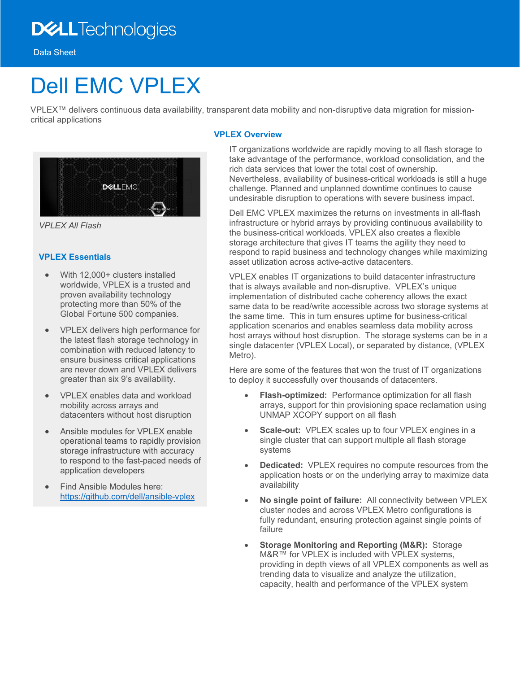# **DELL**Technologies

Data Sheet

# Dell EMC VPLEX

VPLEX™ delivers continuous data availability, transparent data mobility and non-disruptive data migration for missioncritical applications



*VPLEX All Flash*

# **VPLEX Essentials**

- With 12,000+ clusters installed worldwide, VPLEX is a trusted and proven availability technology protecting more than 50% of the Global Fortune 500 companies.
- VPLEX delivers high performance for the latest flash storage technology in combination with reduced latency to ensure business critical applications are never down and VPLEX delivers greater than six 9's availability.
- VPLEX enables data and workload mobility across arrays and datacenters without host disruption
- Ansible modules for VPLEX enable operational teams to rapidly provision storage infrastructure with accuracy to respond to the fast-paced needs of application developers
- Find Ansible Modules here: <https://github.com/dell/ansible-vplex>

# **VPLEX Overview**

IT organizations worldwide are rapidly moving to all flash storage to take advantage of the performance, workload consolidation, and the rich data services that lower the total cost of ownership. Nevertheless, availability of business-critical workloads is still a huge challenge. Planned and unplanned downtime continues to cause undesirable disruption to operations with severe business impact.

Dell EMC VPLEX maximizes the returns on investments in all-flash infrastructure or hybrid arrays by providing continuous availability to the business-critical workloads. VPLEX also creates a flexible storage architecture that gives IT teams the agility they need to respond to rapid business and technology changes while maximizing asset utilization across active-active datacenters.

VPLEX enables IT organizations to build datacenter infrastructure that is always available and non-disruptive. VPLEX's unique implementation of distributed cache coherency allows the exact same data to be read/write accessible across two storage systems at the same time. This in turn ensures uptime for business-critical application scenarios and enables seamless data mobility across host arrays without host disruption. The storage systems can be in a single datacenter (VPLEX Local), or separated by distance, (VPLEX Metro).

Here are some of the features that won the trust of IT organizations to deploy it successfully over thousands of datacenters.

- **Flash-optimized:** Performance optimization for all flash arrays, support for thin provisioning space reclamation using UNMAP XCOPY support on all flash
- **Scale-out:** VPLEX scales up to four VPLEX engines in a single cluster that can support multiple all flash storage systems
- **Dedicated:** VPLEX requires no compute resources from the application hosts or on the underlying array to maximize data availability
- **No single point of failure:** All connectivity between VPLEX cluster nodes and across VPLEX Metro configurations is fully redundant, ensuring protection against single points of failure
- **Storage Monitoring and Reporting (M&R):** Storage M&R™ for VPLEX is included with VPLEX systems, providing in depth views of all VPLEX components as well as trending data to visualize and analyze the utilization, capacity, health and performance of the VPLEX system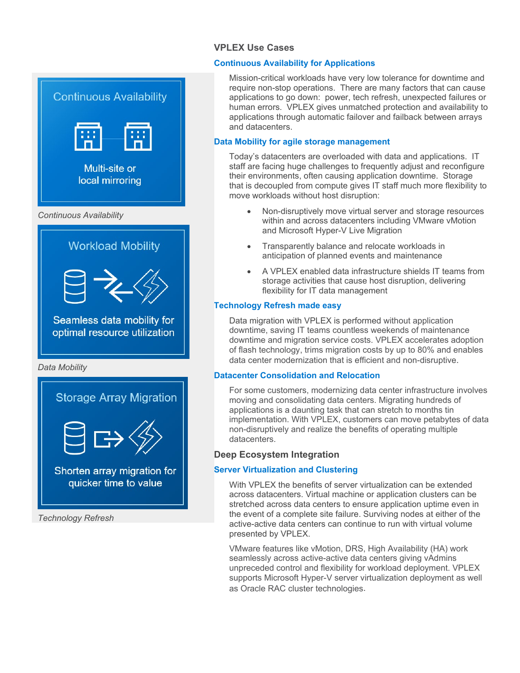# **VPLEX Use Cases**

# **Continuous Availability for Applications**

Mission-critical workloads have very low tolerance for downtime and require non-stop operations. There are many factors that can cause applications to go down: power, tech refresh, unexpected failures or human errors. VPLEX gives unmatched protection and availability to applications through automatic failover and failback between arrays and datacenters.

# **Data Mobility for agile storage management**

Today's datacenters are overloaded with data and applications. IT staff are facing huge challenges to frequently adjust and reconfigure their environments, often causing application downtime. Storage that is decoupled from compute gives IT staff much more flexibility to move workloads without host disruption:

- Non-disruptively move virtual server and storage resources within and across datacenters including VMware vMotion and Microsoft Hyper-V Live Migration
- Transparently balance and relocate workloads in anticipation of planned events and maintenance
- A VPLEX enabled data infrastructure shields IT teams from storage activities that cause host disruption, delivering flexibility for IT data management

# **Technology Refresh made easy**

Data migration with VPLEX is performed without application downtime, saving IT teams countless weekends of maintenance downtime and migration service costs. VPLEX accelerates adoption of flash technology, trims migration costs by up to 80% and enables data center modernization that is efficient and non-disruptive.

#### **Datacenter Consolidation and Relocation**

For some customers, modernizing data center infrastructure involves moving and consolidating data centers. Migrating hundreds of applications is a daunting task that can stretch to months tin implementation. With VPLEX, customers can move petabytes of data non-disruptively and realize the benefits of operating multiple datacenters.

# **Deep Ecosystem Integration**

#### **Server Virtualization and Clustering**

With VPLEX the benefits of server virtualization can be extended across datacenters. Virtual machine or application clusters can be stretched across data centers to ensure application uptime even in the event of a complete site failure. Surviving nodes at either of the active-active data centers can continue to run with virtual volume presented by VPLEX.

VMware features like vMotion, DRS, High Availability (HA) work seamlessly across active-active data centers giving vAdmins unpreceded control and flexibility for workload deployment. VPLEX supports Microsoft Hyper-V server virtualization deployment as well as Oracle RAC cluster technologies.

Multi-site or local mirroring *Continuous Availability* **Workload Mobility** Seamless data mobility for optimal resource utilization *Data Mobility* **Storage Array Migration** Shorten array migration for quicker time to value

**Continuous Availability** 

*Technology Refresh*